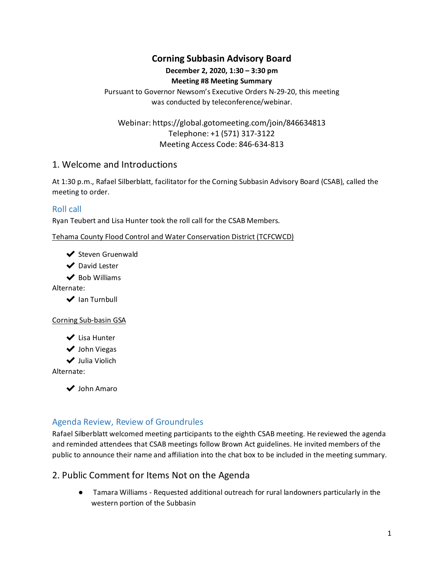## **Corning Subbasin Advisory Board**

# **December 2, 2020, 1:30 – 3:30 pm**

#### **Meeting #8 Meeting Summary**

Pursuant to Governor Newsom's Executive Orders N-29-20, this meeting was conducted by teleconference/webinar.

Webinar: https://global.gotomeeting.com/join/846634813 Telephone: +1 (571) 317-3122 Meeting Access Code: 846-634-813

### 1. Welcome and Introductions

At 1:30 p.m., Rafael Silberblatt, facilitator for the Corning Subbasin Advisory Board (CSAB), called the meeting to order.

### Roll call

Ryan Teubert and Lisa Hunter took the roll call for the CSAB Members.

Tehama County Flood Control and Water Conservation District (TCFCWCD)

- ◆ Steven Gruenwald
- ◆ David Lester
- $\vee$  Bob Williams

Alternate:

◆ Ian Turnbull

#### Corning Sub-basin GSA

- ◆ Lisa Hunter
- ◆ John Viegas
- ✔ Julia Violich

Alternate:

✔ John Amaro

#### Agenda Review, Review of Groundrules

Rafael Silberblatt welcomed meeting participants to the eighth CSAB meeting. He reviewed the agenda and reminded attendees that CSAB meetings follow Brown Act guidelines. He invited members of the public to announce their name and affiliation into the chat box to be included in the meeting summary.

### 2. Public Comment for Items Not on the Agenda

● Tamara Williams - Requested additional outreach for rural landowners particularly in the western portion of the Subbasin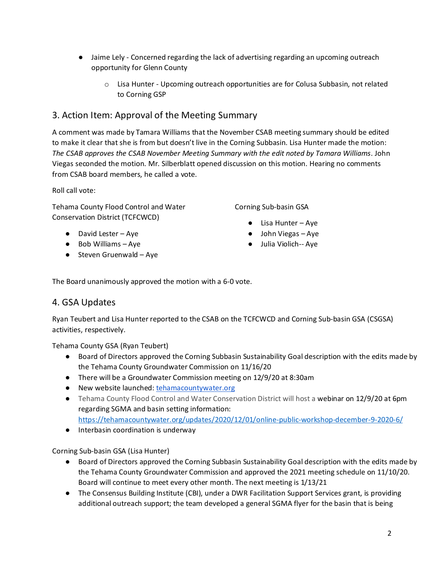- Jaime Lely Concerned regarding the lack of advertising regarding an upcoming outreach opportunity for Glenn County
	- o Lisa Hunter Upcoming outreach opportunities are for Colusa Subbasin, not related to Corning GSP

## 3. Action Item: Approval of the Meeting Summary

A comment was made by Tamara Williams that the November CSAB meeting summary should be edited to make it clear that she is from but doesn't live in the Corning Subbasin. Lisa Hunter made the motion: *The CSAB approves the CSAB November Meeting Summary with the edit noted by Tamara Williams*. John Viegas seconded the motion. Mr. Silberblatt opened discussion on this motion. Hearing no comments from CSAB board members, he called a vote.

Roll call vote:

Tehama County Flood Control and Water Conservation District (TCFCWCD)

- David Lester Aye
- Bob Williams Aye
- $\bullet$  Steven Gruenwald Aye

Corning Sub-basin GSA

- $\bullet$  Lisa Hunter Aye
- John Viegas Aye
- Julia Violich-- Aye

The Board unanimously approved the motion with a 6-0 vote.

## 4. GSA Updates

Ryan Teubert and Lisa Hunter reported to the CSAB on the TCFCWCD and Corning Sub-basin GSA (CSGSA) activities, respectively.

Tehama County GSA (Ryan Teubert)

- Board of Directors approved the Corning Subbasin Sustainability Goal description with the edits made by the Tehama County Groundwater Commission on 11/16/20
- There will be a Groundwater Commission meeting on 12/9/20 at 8:30am
- New website launched: [tehamacountywater.org](https://tehamacountywater.org/)
- Tehama County Flood Control and Water Conservation District will host a webinar on 12/9/20 at 6pm regarding SGMA and basin setting information:
	- <https://tehamacountywater.org/updates/2020/12/01/online-public-workshop-december-9-2020-6/>
- Interbasin coordination is underway

Corning Sub-basin GSA (Lisa Hunter)

- Board of Directors approved the Corning Subbasin Sustainability Goal description with the edits made by the Tehama County Groundwater Commission and approved the 2021 meeting schedule on 11/10/20. Board will continue to meet every other month. The next meeting is 1/13/21
- The Consensus Building Institute (CBI), under a DWR Facilitation Support Services grant, is providing additional outreach support; the team developed a general SGMA flyer for the basin that is being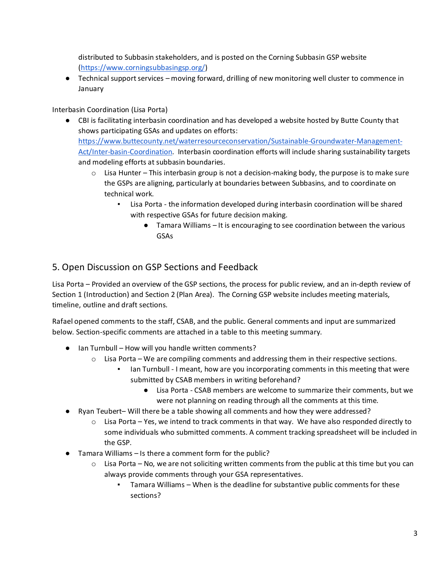distributed to Subbasin stakeholders, and is posted on the Corning Subbasin GSP website [\(https://www.corningsubbasingsp.org/\)](https://www.corningsubbasingsp.org/)

● Technical support services – moving forward, drilling of new monitoring well cluster to commence in January

Interbasin Coordination (Lisa Porta)

- CBI is facilitating interbasin coordination and has developed a website hosted by Butte County that shows participating GSAs and updates on efforts: [https://www.buttecounty.net/waterresourceconservation/Sustainable-Groundwater-Management-](https://www.buttecounty.net/waterresourceconservation/Sustainable-Groundwater-Management-Act/Inter-basin-Coordination)[Act/Inter-basin-Coordination.](https://www.buttecounty.net/waterresourceconservation/Sustainable-Groundwater-Management-Act/Inter-basin-Coordination) Interbasin coordination efforts will include sharing sustainability targets and modeling efforts at subbasin boundaries.
	- $\circ$  Lisa Hunter This interbasin group is not a decision-making body, the purpose is to make sure the GSPs are aligning, particularly at boundaries between Subbasins, and to coordinate on technical work.
		- Lisa Porta the information developed during interbasin coordination will be shared with respective GSAs for future decision making.
			- Tamara Williams It is encouraging to see coordination between the various GSAs

## 5. Open Discussion on GSP Sections and Feedback

Lisa Porta – Provided an overview of the GSP sections, the process for public review, and an in-depth review of Section 1 (Introduction) and Section 2 (Plan Area). The Corning GSP website includes meeting materials, timeline, outline and draft sections.

Rafael opened comments to the staff, CSAB, and the public. General comments and input are summarized below. Section-specific comments are attached in a table to this meeting summary.

- Ian Turnbull How will you handle written comments?
	- o Lisa Porta We are compiling comments and addressing them in their respective sections.
		- Ian Turnbull I meant, how are you incorporating comments in this meeting that were submitted by CSAB members in writing beforehand?
			- Lisa Porta CSAB members are welcome to summarize their comments, but we were not planning on reading through all the comments at this time.
- Ryan Teubert– Will there be a table showing all comments and how they were addressed?
	- $\circ$  Lisa Porta Yes, we intend to track comments in that way. We have also responded directly to some individuals who submitted comments. A comment tracking spreadsheet will be included in the GSP.
- Tamara Williams Is there a comment form for the public?
	- $\circ$  Lisa Porta No, we are not soliciting written comments from the public at this time but you can always provide comments through your GSA representatives.
		- Tamara Williams When is the deadline for substantive public comments for these sections?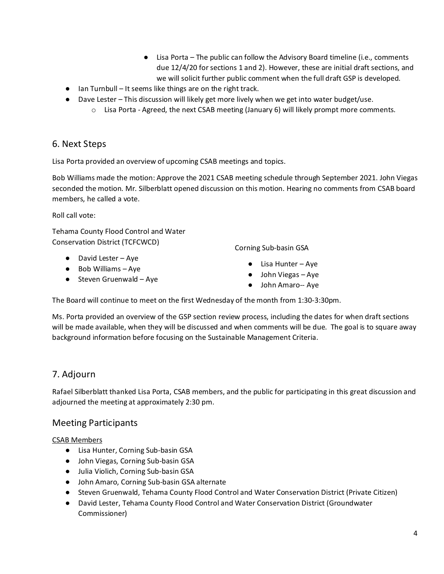- Lisa Porta The public can follow the Advisory Board timeline (i.e., comments due 12/4/20 for sections 1 and 2). However, these are initial draft sections, and we will solicit further public comment when the full draft GSP is developed.
- Ian Turnbull It seems like things are on the right track.
- Dave Lester This discussion will likely get more lively when we get into water budget/use.
	- o Lisa Porta Agreed, the next CSAB meeting (January 6) will likely prompt more comments.

## 6. Next Steps

Lisa Porta provided an overview of upcoming CSAB meetings and topics.

Bob Williams made the motion: Approve the 2021 CSAB meeting schedule through September 2021. John Viegas seconded the motion. Mr. Silberblatt opened discussion on this motion. Hearing no comments from CSAB board members, he called a vote.

Roll call vote:

Tehama County Flood Control and Water Conservation District (TCFCWCD)

- David Lester Aye
- Bob Williams Aye
- $\bullet$  Steven Gruenwald Aye

Corning Sub-basin GSA

- $\bullet$  Lisa Hunter Aye
- John Viegas Aye
- John Amaro-- Aye

The Board will continue to meet on the first Wednesday of the month from 1:30-3:30pm.

Ms. Porta provided an overview of the GSP section review process, including the dates for when draft sections will be made available, when they will be discussed and when comments will be due. The goal is to square away background information before focusing on the Sustainable Management Criteria.

## 7. Adjourn

Rafael Silberblatt thanked Lisa Porta, CSAB members, and the public for participating in this great discussion and adjourned the meeting at approximately 2:30 pm.

### Meeting Participants

#### CSAB Members

- Lisa Hunter, Corning Sub-basin GSA
- John Viegas, Corning Sub-basin GSA
- Julia Violich, Corning Sub-basin GSA
- John Amaro, Corning Sub-basin GSA alternate
- Steven Gruenwald, Tehama County Flood Control and Water Conservation District (Private Citizen)
- David Lester, Tehama County Flood Control and Water Conservation District (Groundwater Commissioner)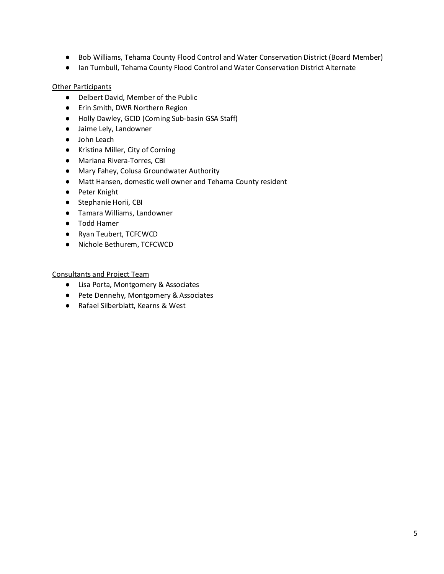- Bob Williams, Tehama County Flood Control and Water Conservation District (Board Member)
- Ian Turnbull, Tehama County Flood Control and Water Conservation District Alternate

#### **Other Participants**

- Delbert David, Member of the Public
- Erin Smith, DWR Northern Region
- Holly Dawley, GCID (Corning Sub-basin GSA Staff)
- Jaime Lely, Landowner
- John Leach
- Kristina Miller, City of Corning
- Mariana Rivera-Torres, CBI
- Mary Fahey, Colusa Groundwater Authority
- Matt Hansen, domestic well owner and Tehama County resident
- Peter Knight
- Stephanie Horii, CBI
- Tamara Williams, Landowner
- Todd Hamer
- Ryan Teubert, TCFCWCD
- Nichole Bethurem, TCFCWCD

Consultants and Project Team

- Lisa Porta, Montgomery & Associates
- Pete Dennehy, Montgomery & Associates
- Rafael Silberblatt, Kearns & West